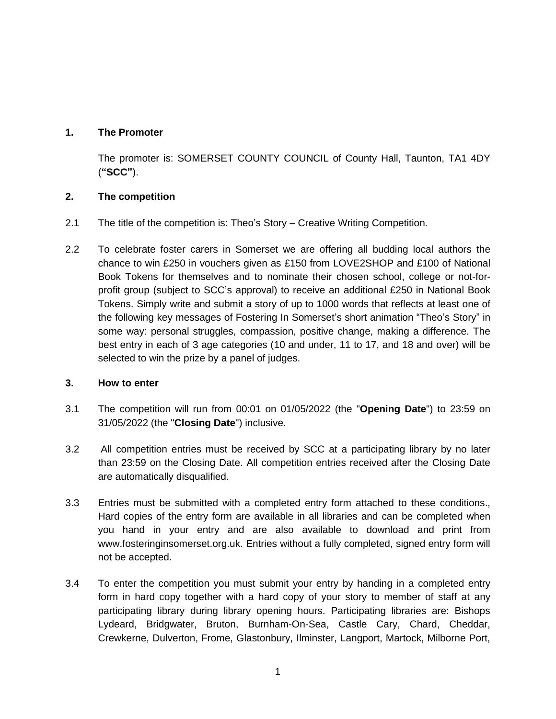# **1. The Promoter**

The promoter is: SOMERSET COUNTY COUNCIL of County Hall, Taunton, TA1 4DY (**"SCC"**).

## **2. The competition**

- 2.1 The title of the competition is: Theo's Story Creative Writing Competition.
- 2.2 To celebrate foster carers in Somerset we are offering all budding local authors the chance to win £250 in vouchers given as £150 from LOVE2SHOP and £100 of National Book Tokens for themselves and to nominate their chosen school, college or not-forprofit group (subject to SCC's approval) to receive an additional £250 in National Book Tokens. Simply write and submit a story of up to 1000 words that reflects at least one of the following key messages of Fostering In Somerset's short animation "Theo's Story" in some way: personal struggles, compassion, positive change, making a difference. The best entry in each of 3 age categories (10 and under, 11 to 17, and 18 and over) will be selected to win the prize by a panel of judges.

### **3. How to enter**

- 3.1 The competition will run from 00:01 on 01/05/2022 (the "**Opening Date**") to 23:59 on 31/05/2022 (the "**Closing Date**") inclusive.
- 3.2 All competition entries must be received by SCC at a participating library by no later than 23:59 on the Closing Date. All competition entries received after the Closing Date are automatically disqualified.
- 3.3 Entries must be submitted with a completed entry form attached to these conditions., Hard copies of the entry form are available in all libraries and can be completed when you hand in your entry and are also available to download and print from www.fosteringinsomerset.org.uk. Entries without a fully completed, signed entry form will not be accepted.
- 3.4 To enter the competition you must submit your entry by handing in a completed entry form in hard copy together with a hard copy of your story to member of staff at any participating library during library opening hours. Participating libraries are: Bishops Lydeard, Bridgwater, Bruton, Burnham-On-Sea, Castle Cary, Chard, Cheddar, Crewkerne, Dulverton, Frome, Glastonbury, Ilminster, Langport, Martock, Milborne Port,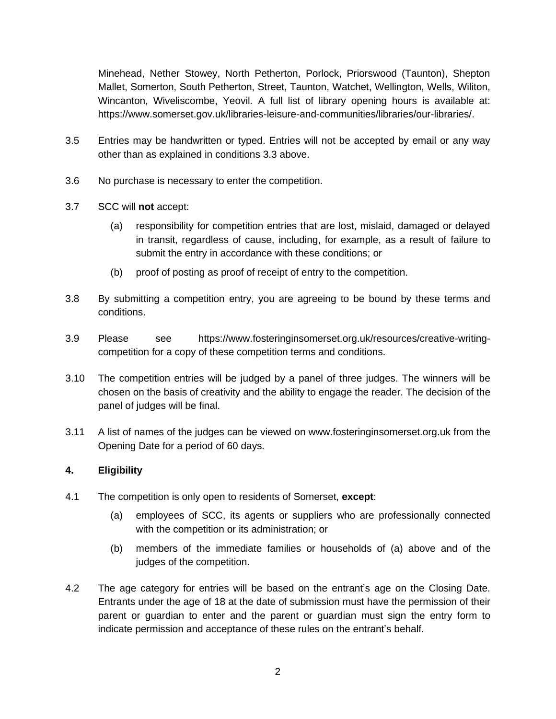Minehead, Nether Stowey, North Petherton, Porlock, Priorswood (Taunton), Shepton Mallet, Somerton, South Petherton, Street, Taunton, Watchet, Wellington, Wells, Wiliton, Wincanton, Wiveliscombe, Yeovil. A full list of library opening hours is available at: https://www.somerset.gov.uk/libraries-leisure-and-communities/libraries/our-libraries/.

- 3.5 Entries may be handwritten or typed. Entries will not be accepted by email or any way other than as explained in conditions 3.3 above.
- 3.6 No purchase is necessary to enter the competition.
- 3.7 SCC will **not** accept:
	- (a) responsibility for competition entries that are lost, mislaid, damaged or delayed in transit, regardless of cause, including, for example, as a result of failure to submit the entry in accordance with these conditions; or
	- (b) proof of posting as proof of receipt of entry to the competition.
- 3.8 By submitting a competition entry, you are agreeing to be bound by these terms and conditions.
- 3.9 Please see https://www.fosteringinsomerset.org.uk/resources/creative-writingcompetition for a copy of these competition terms and conditions.
- 3.10 The competition entries will be judged by a panel of three judges. The winners will be chosen on the basis of creativity and the ability to engage the reader. The decision of the panel of judges will be final.
- 3.11 A list of names of the judges can be viewed on www.fosteringinsomerset.org.uk from the Opening Date for a period of 60 days.

### **4. Eligibility**

- 4.1 The competition is only open to residents of Somerset, **except**:
	- (a) employees of SCC, its agents or suppliers who are professionally connected with the competition or its administration; or
	- (b) members of the immediate families or households of (a) above and of the judges of the competition.
- 4.2 The age category for entries will be based on the entrant's age on the Closing Date. Entrants under the age of 18 at the date of submission must have the permission of their parent or guardian to enter and the parent or guardian must sign the entry form to indicate permission and acceptance of these rules on the entrant's behalf.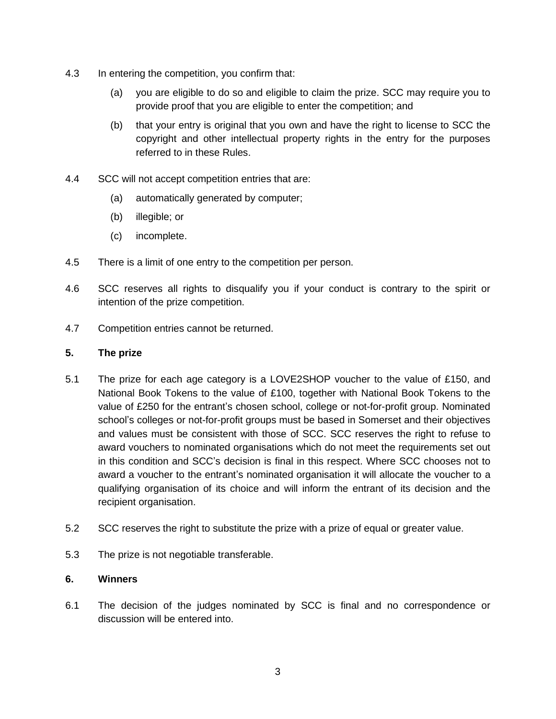- 4.3 In entering the competition, you confirm that:
	- (a) you are eligible to do so and eligible to claim the prize. SCC may require you to provide proof that you are eligible to enter the competition; and
	- (b) that your entry is original that you own and have the right to license to SCC the copyright and other intellectual property rights in the entry for the purposes referred to in these Rules.
- 4.4 SCC will not accept competition entries that are:
	- (a) automatically generated by computer;
	- (b) illegible; or
	- (c) incomplete.
- 4.5 There is a limit of one entry to the competition per person.
- 4.6 SCC reserves all rights to disqualify you if your conduct is contrary to the spirit or intention of the prize competition.
- 4.7 Competition entries cannot be returned.

#### **5. The prize**

- 5.1 The prize for each age category is a LOVE2SHOP voucher to the value of £150, and National Book Tokens to the value of £100, together with National Book Tokens to the value of £250 for the entrant's chosen school, college or not-for-profit group. Nominated school's colleges or not-for-profit groups must be based in Somerset and their objectives and values must be consistent with those of SCC. SCC reserves the right to refuse to award vouchers to nominated organisations which do not meet the requirements set out in this condition and SCC's decision is final in this respect. Where SCC chooses not to award a voucher to the entrant's nominated organisation it will allocate the voucher to a qualifying organisation of its choice and will inform the entrant of its decision and the recipient organisation.
- 5.2 SCC reserves the right to substitute the prize with a prize of equal or greater value.
- 5.3 The prize is not negotiable transferable.

### **6. Winners**

6.1 The decision of the judges nominated by SCC is final and no correspondence or discussion will be entered into.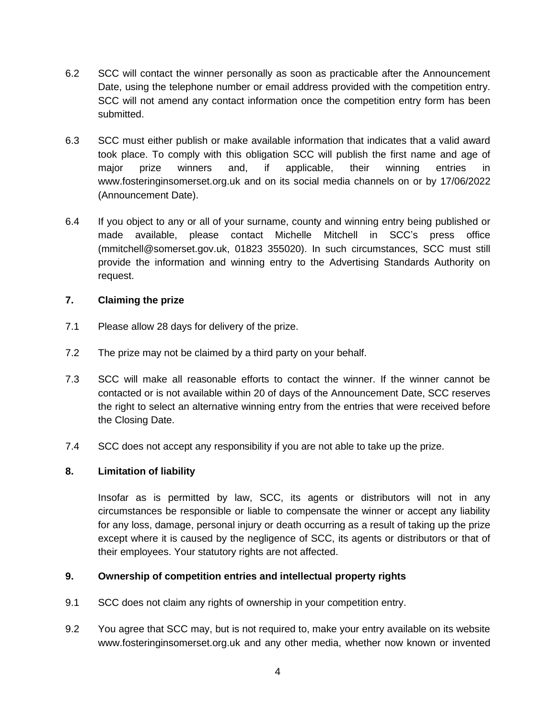- 6.2 SCC will contact the winner personally as soon as practicable after the Announcement Date, using the telephone number or email address provided with the competition entry. SCC will not amend any contact information once the competition entry form has been submitted.
- <span id="page-3-0"></span>6.3 SCC must either publish or make available information that indicates that a valid award took place. To comply with this obligation SCC will publish the first name and age of major prize winners and, if applicable, their winning entries in www.fosteringinsomerset.org.uk and on its social media channels on or by 17/06/2022 (Announcement Date).
- <span id="page-3-1"></span>6.4 If you object to any or all of your surname, county and winning entry being published or made available, please contact Michelle Mitchell in SCC's press office (mmitchell@somerset.gov.uk, 01823 355020). In such circumstances, SCC must still provide the information and winning entry to the Advertising Standards Authority on request.

### **7. Claiming the prize**

- 7.1 Please allow 28 days for delivery of the prize.
- 7.2 The prize may not be claimed by a third party on your behalf.
- 7.3 SCC will make all reasonable efforts to contact the winner. If the winner cannot be contacted or is not available within 20 of days of the Announcement Date, SCC reserves the right to select an alternative winning entry from the entries that were received before the Closing Date.
- 7.4 SCC does not accept any responsibility if you are not able to take up the prize.

### **8. Limitation of liability**

Insofar as is permitted by law, SCC, its agents or distributors will not in any circumstances be responsible or liable to compensate the winner or accept any liability for any loss, damage, personal injury or death occurring as a result of taking up the prize except where it is caused by the negligence of SCC, its agents or distributors or that of their employees. Your statutory rights are not affected.

### **9. Ownership of competition entries and intellectual property rights**

- 9.1 SCC does not claim any rights of ownership in your competition entry.
- 9.2 You agree that SCC may, but is not required to, make your entry available on its website www.fosteringinsomerset.org.uk and any other media, whether now known or invented